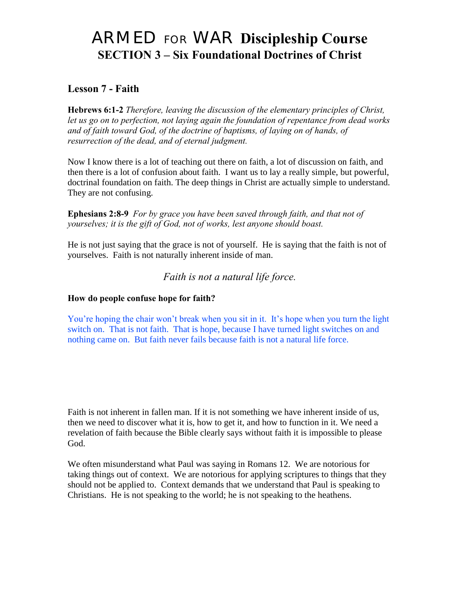# ARMED FOR WAR **Discipleship Course SECTION 3 – Six Foundational Doctrines of Christ**

# **Lesson 7 - Faith**

**Hebrews 6:1-2** *Therefore, leaving the discussion of the elementary principles of Christ, let us go on to perfection, not laying again the foundation of repentance from dead works and of faith toward God, of the doctrine of baptisms, of laying on of hands, of resurrection of the dead, and of eternal judgment.* 

Now I know there is a lot of teaching out there on faith, a lot of discussion on faith, and then there is a lot of confusion about faith. I want us to lay a really simple, but powerful, doctrinal foundation on faith. The deep things in Christ are actually simple to understand. They are not confusing.

**Ephesians 2:8-9** *For by grace you have been saved through faith, and that not of yourselves; it is the gift of God, not of works, lest anyone should boast.* 

He is not just saying that the grace is not of yourself. He is saying that the faith is not of yourselves. Faith is not naturally inherent inside of man.

#### *Faith is not a natural life force.*

#### **How do people confuse hope for faith?**

You're hoping the chair won't break when you sit in it. It's hope when you turn the light switch on. That is not faith. That is hope, because I have turned light switches on and nothing came on. But faith never fails because faith is not a natural life force.

Faith is not inherent in fallen man. If it is not something we have inherent inside of us, then we need to discover what it is, how to get it, and how to function in it. We need a revelation of faith because the Bible clearly says without faith it is impossible to please God.

We often misunderstand what Paul was saying in Romans 12. We are notorious for taking things out of context. We are notorious for applying scriptures to things that they should not be applied to. Context demands that we understand that Paul is speaking to Christians. He is not speaking to the world; he is not speaking to the heathens.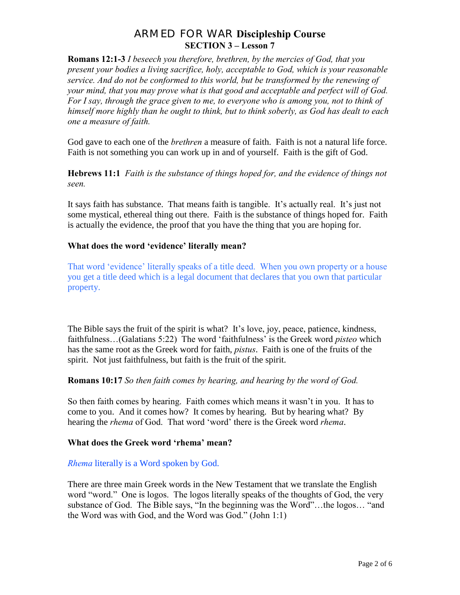**Romans 12:1-3** *I beseech you therefore, brethren, by the mercies of God, that you present your bodies a living sacrifice, holy, acceptable to God, which is your reasonable service. And do not be conformed to this world, but be transformed by the renewing of your mind, that you may prove what is that good and acceptable and perfect will of God. For I say, through the grace given to me, to everyone who is among you, not to think of himself more highly than he ought to think, but to think soberly, as God has dealt to each one a measure of faith.*

God gave to each one of the *brethren* a measure of faith. Faith is not a natural life force. Faith is not something you can work up in and of yourself. Faith is the gift of God.

**Hebrews 11:1** *Faith is the substance of things hoped for, and the evidence of things not seen.* 

It says faith has substance. That means faith is tangible. It's actually real. It's just not some mystical, ethereal thing out there. Faith is the substance of things hoped for. Faith is actually the evidence, the proof that you have the thing that you are hoping for.

#### **What does the word 'evidence' literally mean?**

That word 'evidence' literally speaks of a title deed. When you own property or a house you get a title deed which is a legal document that declares that you own that particular property.

The Bible says the fruit of the spirit is what? It's love, joy, peace, patience, kindness, faithfulness…(Galatians 5:22) The word "faithfulness" is the Greek word *pisteo* which has the same root as the Greek word for faith, *pistus*. Faith is one of the fruits of the spirit. Not just faithfulness, but faith is the fruit of the spirit.

#### **Romans 10:17** *So then faith comes by hearing, and hearing by the word of God.*

So then faith comes by hearing. Faith comes which means it wasn"t in you. It has to come to you. And it comes how? It comes by hearing. But by hearing what? By hearing the *rhema* of God. That word "word" there is the Greek word *rhema*.

#### **What does the Greek word 'rhema' mean?**

#### *Rhema* literally is a Word spoken by God.

There are three main Greek words in the New Testament that we translate the English word "word." One is logos. The logos literally speaks of the thoughts of God, the very substance of God. The Bible says, "In the beginning was the Word"…the logos… "and the Word was with God, and the Word was God." (John 1:1)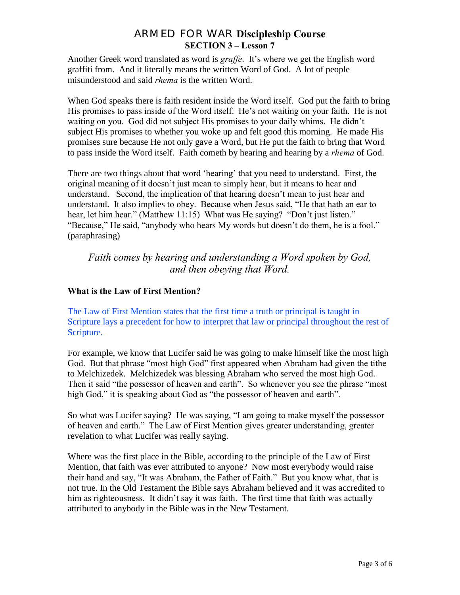Another Greek word translated as word is *graffe*. It's where we get the English word graffiti from. And it literally means the written Word of God. A lot of people misunderstood and said *rhema* is the written Word.

When God speaks there is faith resident inside the Word itself. God put the faith to bring His promises to pass inside of the Word itself. He's not waiting on your faith. He is not waiting on you. God did not subject His promises to your daily whims. He didn"t subject His promises to whether you woke up and felt good this morning. He made His promises sure because He not only gave a Word, but He put the faith to bring that Word to pass inside the Word itself. Faith cometh by hearing and hearing by a *rhema* of God.

There are two things about that word 'hearing' that you need to understand. First, the original meaning of it doesn"t just mean to simply hear, but it means to hear and understand. Second, the implication of that hearing doesn"t mean to just hear and understand. It also implies to obey. Because when Jesus said, "He that hath an ear to hear, let him hear." (Matthew 11:15) What was He saying? "Don't just listen." "Because," He said, "anybody who hears My words but doesn"t do them, he is a fool." (paraphrasing)

## *Faith comes by hearing and understanding a Word spoken by God, and then obeying that Word.*

#### **What is the Law of First Mention?**

The Law of First Mention states that the first time a truth or principal is taught in Scripture lays a precedent for how to interpret that law or principal throughout the rest of Scripture.

For example, we know that Lucifer said he was going to make himself like the most high God. But that phrase "most high God" first appeared when Abraham had given the tithe to Melchizedek. Melchizedek was blessing Abraham who served the most high God. Then it said "the possessor of heaven and earth". So whenever you see the phrase "most high God," it is speaking about God as "the possessor of heaven and earth".

So what was Lucifer saying? He was saying, "I am going to make myself the possessor of heaven and earth." The Law of First Mention gives greater understanding, greater revelation to what Lucifer was really saying.

Where was the first place in the Bible, according to the principle of the Law of First Mention, that faith was ever attributed to anyone? Now most everybody would raise their hand and say, "It was Abraham, the Father of Faith." But you know what, that is not true. In the Old Testament the Bible says Abraham believed and it was accredited to him as righteousness. It didn't say it was faith. The first time that faith was actually attributed to anybody in the Bible was in the New Testament.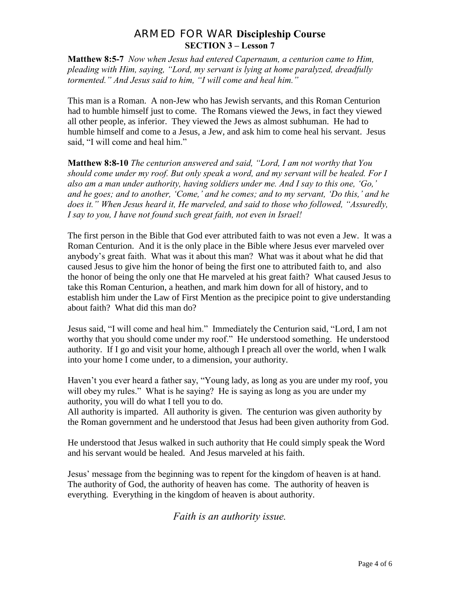**Matthew 8:5-7** *Now when Jesus had entered Capernaum, a centurion came to Him, pleading with Him, saying, "Lord, my servant is lying at home paralyzed, dreadfully tormented." And Jesus said to him, "I will come and heal him."* 

This man is a Roman. A non-Jew who has Jewish servants, and this Roman Centurion had to humble himself just to come. The Romans viewed the Jews, in fact they viewed all other people, as inferior. They viewed the Jews as almost subhuman. He had to humble himself and come to a Jesus, a Jew, and ask him to come heal his servant. Jesus said, "I will come and heal him."

**Matthew 8:8-10** *The centurion answered and said, "Lord, I am not worthy that You should come under my roof. But only speak a word, and my servant will be healed. For I also am a man under authority, having soldiers under me. And I say to this one, "Go," and he goes; and to another, "Come," and he comes; and to my servant, "Do this," and he does it." When Jesus heard it, He marveled, and said to those who followed, "Assuredly, I say to you, I have not found such great faith, not even in Israel!* 

The first person in the Bible that God ever attributed faith to was not even a Jew. It was a Roman Centurion. And it is the only place in the Bible where Jesus ever marveled over anybody"s great faith. What was it about this man? What was it about what he did that caused Jesus to give him the honor of being the first one to attributed faith to, and also the honor of being the only one that He marveled at his great faith? What caused Jesus to take this Roman Centurion, a heathen, and mark him down for all of history, and to establish him under the Law of First Mention as the precipice point to give understanding about faith? What did this man do?

Jesus said, "I will come and heal him." Immediately the Centurion said, "Lord, I am not worthy that you should come under my roof." He understood something. He understood authority. If I go and visit your home, although I preach all over the world, when I walk into your home I come under, to a dimension, your authority.

Haven't you ever heard a father say, "Young lady, as long as you are under my roof, you will obey my rules." What is he saying? He is saying as long as you are under my authority, you will do what I tell you to do.

All authority is imparted. All authority is given. The centurion was given authority by the Roman government and he understood that Jesus had been given authority from God.

He understood that Jesus walked in such authority that He could simply speak the Word and his servant would be healed. And Jesus marveled at his faith.

Jesus" message from the beginning was to repent for the kingdom of heaven is at hand. The authority of God, the authority of heaven has come. The authority of heaven is everything. Everything in the kingdom of heaven is about authority.

*Faith is an authority issue.*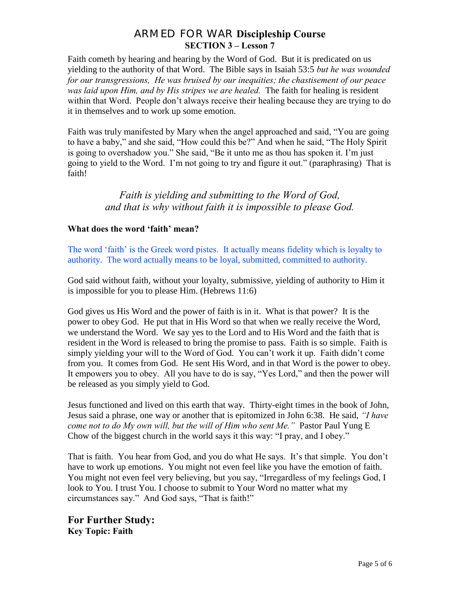Faith cometh by hearing and hearing by the Word of God. But it is predicated on us yielding to the authority of that Word. The Bible says in Isaiah 53:5 *but he was wounded for our transgressions, He was bruised by our inequities; the chastisement of our peace was laid upon Him, and by His stripes we are healed.* The faith for healing is resident within that Word. People don"t always receive their healing because they are trying to do it in themselves and to work up some emotion.

Faith was truly manifested by Mary when the angel approached and said, "You are going to have a baby," and she said, "How could this be?" And when he said, "The Holy Spirit is going to overshadow you." She said, "Be it unto me as thou has spoken it. I"m just going to yield to the Word. I"m not going to try and figure it out." (paraphrasing) That is faith!

## *Faith is yielding and submitting to the Word of God, and that is why without faith it is impossible to please God.*

#### **What does the word 'faith' mean?**

The word 'faith' is the Greek word pistes. It actually means fidelity which is loyalty to authority. The word actually means to be loyal, submitted, committed to authority.

God said without faith, without your loyalty, submissive, yielding of authority to Him it is impossible for you to please Him. (Hebrews 11:6)

God gives us His Word and the power of faith is in it. What is that power? It is the power to obey God. He put that in His Word so that when we really receive the Word, we understand the Word. We say yes to the Lord and to His Word and the faith that is resident in the Word is released to bring the promise to pass. Faith is so simple. Faith is simply yielding your will to the Word of God. You can"t work it up. Faith didn"t come from you. It comes from God. He sent His Word, and in that Word is the power to obey. It empowers you to obey. All you have to do is say, "Yes Lord," and then the power will be released as you simply yield to God.

Jesus functioned and lived on this earth that way. Thirty-eight times in the book of John, Jesus said a phrase, one way or another that is epitomized in John 6:38. He said, *"I have come not to do My own will, but the will of Him who sent Me."* Pastor Paul Yung E Chow of the biggest church in the world says it this way: "I pray, and I obey."

That is faith. You hear from God, and you do what He says. It's that simple. You don't have to work up emotions. You might not even feel like you have the emotion of faith. You might not even feel very believing, but you say, "Irregardless of my feelings God, I look to You. I trust You. I choose to submit to Your Word no matter what my circumstances say." And God says, "That is faith!"

**For Further Study: Key Topic: Faith**